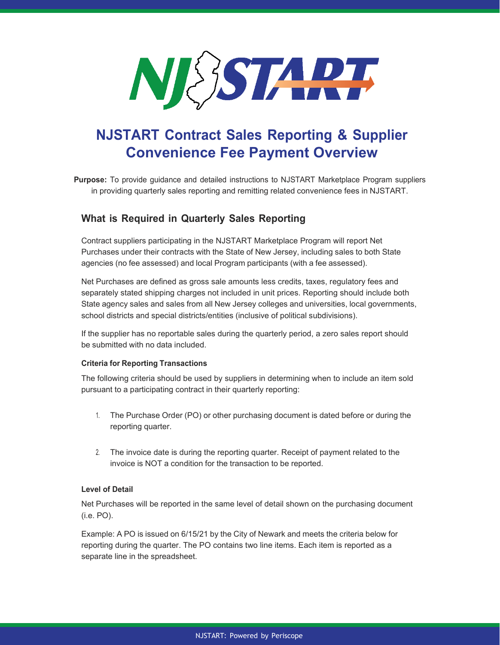

# **NJSTART Contract Sales Reporting & Supplier Convenience Fee Payment Overview**

**Purpose:** To provide guidance and detailed instructions to NJSTART Marketplace Program suppliers in providing quarterly sales reporting and remitting related convenience fees in NJSTART.

# **What is Required in Quarterly Sales Reporting**

Contract suppliers participating in the NJSTART Marketplace Program will report Net Purchases under their contracts with the State of New Jersey, including sales to both State agencies (no fee assessed) and local Program participants (with a fee assessed).

Net Purchases are defined as gross sale amounts less credits, taxes, regulatory fees and separately stated shipping charges not included in unit prices. Reporting should include both State agency sales and sales from all New Jersey colleges and universities, local governments, school districts and special districts/entities (inclusive of political subdivisions).

If the supplier has no reportable sales during the quarterly period, a zero sales report should be submitted with no data included.

## **Criteria for Reporting Transactions**

The following criteria should be used by suppliers in determining when to include an item sold pursuant to a participating contract in their quarterly reporting:

- 1. The Purchase Order (PO) or other purchasing document is dated before or during the reporting quarter.
- 2. The invoice date is during the reporting quarter. Receipt of payment related to the invoice is NOT a condition for the transaction to be reported.

# **Level of Detail**

Net Purchases will be reported in the same level of detail shown on the purchasing document (i.e. PO).

Example: A PO is issued on 6/15/21 by the City of Newark and meets the criteria below for reporting during the quarter. The PO contains two line items. Each item is reported as a separate line in the spreadsheet.